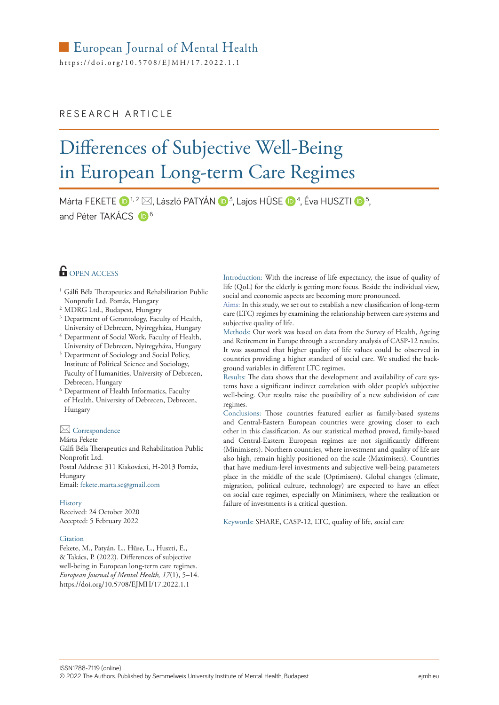https://[doi.org/10.5708/EJMH](https://doi.org/10.5708/EJMH/17.2022.1.1)/17.2022.1.1

### RESEARCH ARTICLE

# Differences of Subjective Well-Being in European Long-term Care Regimes

Márta FEKETE  $\mathbf{D}^{1,2} \boxtimes$ , László PATYÁN  $\mathbf{D}^{3}$ , Lajos HÜSE  $\mathbf{D}^{4}$ , Éva HUSZTI  $\mathbf{D}^{5}$ , and Péter TAKÁCS D<sup>6</sup>

## **OPEN ACCESS**

- <sup>1</sup> Gálfi Béla Therapeutics and Rehabilitation Public Nonprofit Ltd. Pomáz, Hungary
- <sup>2</sup> MDRG Ltd., Budapest, Hungary
- <sup>3</sup> Department of Gerontology, Faculty of Health, University of Debrecen, Nyíregyháza, Hungary
- <sup>4</sup> Department of Social Work, Faculty of Health, University of Debrecen, Nyíregyháza, Hungary
- <sup>5</sup> Department of Sociology and Social Policy, Institute of Political Science and Sociology, Faculty of Humanities, University of Debrecen, Debrecen, Hungary
- <sup>6</sup> Department of Health Informatics, Faculty of Health, University of Debrecen, Debrecen, Hungary

#### Correspondence

Márta Fekete Gálfi Béla Therapeutics and Rehabilitation Public Nonprofit Ltd. Postal Address: 311 Kiskovácsi, H-2013 Pomáz, Hungary Email: [fekete.marta.se@gmail.com](mailto:fekete.marta.se@gmail.com)

#### History

Received: 24 October 2020 Accepted: 5 February 2022

#### Citation

Fekete, M., Patyán, L., Hüse, L., Huszti, E., & Takács, P. (2022). Differences of subjective well-being in European long-term care regimes. *European Journal of Mental Health, 17*(1), 5–14. <https://doi.org/10.5708/EJMH/17.2022.1.1>

Introduction: With the increase of life expectancy, the issue of quality of life (QoL) for the elderly is getting more focus. Beside the individual view, social and economic aspects are becoming more pronounced.

Aims: In this study, we set out to establish a new classification of long-term care (LTC) regimes by examining the relationship between care systems and subjective quality of life.

Methods: Our work was based on data from the Survey of Health, Ageing and Retirement in Europe through a secondary analysis of CASP-12 results. It was assumed that higher quality of life values could be observed in countries providing a higher standard of social care. We studied the background variables in different LTC regimes.

Results: The data shows that the development and availability of care systems have a significant indirect correlation with older people's subjective well-being. Our results raise the possibility of a new subdivision of care regimes.

Conclusions: Those countries featured earlier as family-based systems and Central-Eastern European countries were growing closer to each other in this classification. As our statistical method proved, family-based and Central-Eastern European regimes are not significantly different (Minimisers). Northern countries, where investment and quality of life are also high, remain highly positioned on the scale (Maximisers). Countries that have medium-level investments and subjective well-being parameters place in the middle of the scale (Optimisers). Global changes (climate, migration, political culture, technology) are expected to have an effect on social care regimes, especially on Minimisers, where the realization or failure of investments is a critical question.

Keywords: SHARE, CASP-12, LTC, quality of life, social care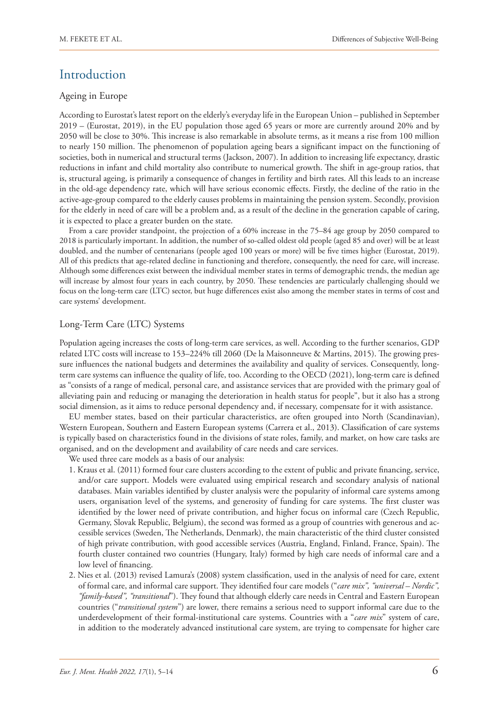# Introduction

#### Ageing in Europe

According to Eurostat's latest report on the elderly's everyday life in the European Union – published in September 2019 – (Eurostat, 2019), in the EU population those aged 65 years or more are currently around 20% and by 2050 will be close to 30%. This increase is also remarkable in absolute terms, as it means a rise from 100 million to nearly 150 million. The phenomenon of population ageing bears a significant impact on the functioning of societies, both in numerical and structural terms (Jackson, 2007). In addition to increasing life expectancy, drastic reductions in infant and child mortality also contribute to numerical growth. The shift in age-group ratios, that is, structural ageing, is primarily a consequence of changes in fertility and birth rates. All this leads to an increase in the old-age dependency rate, which will have serious economic effects. Firstly, the decline of the ratio in the active-age-group compared to the elderly causes problems in maintaining the pension system. Secondly, provision for the elderly in need of care will be a problem and, as a result of the decline in the generation capable of caring, it is expected to place a greater burden on the state.

From a care provider standpoint, the projection of a 60% increase in the 75–84 age group by 2050 compared to 2018 is particularly important. In addition, the number of so-called oldest old people (aged 85 and over) will be at least doubled, and the number of centenarians (people aged 100 years or more) will be five times higher (Eurostat, 2019). All of this predicts that age-related decline in functioning and therefore, consequently, the need for care, will increase. Although some differences exist between the individual member states in terms of demographic trends, the median age will increase by almost four years in each country, by 2050. These tendencies are particularly challenging should we focus on the long-term care (LTC) sector, but huge differences exist also among the member states in terms of cost and care systems' development.

#### Long-Term Care (LTC) Systems

Population ageing increases the costs of long-term care services, as well. According to the further scenarios, GDP related LTC costs will increase to 153–224% till 2060 (De la Maisonneuve & Martins, 2015). The growing pressure influences the national budgets and determines the availability and quality of services. Consequently, longterm care systems can influence the quality of life, too. According to the OECD (2021), long-term care is defined as "consists of a range of medical, personal care, and assistance services that are provided with the primary goal of alleviating pain and reducing or managing the deterioration in health status for people", but it also has a strong social dimension, as it aims to reduce personal dependency and, if necessary, compensate for it with assistance.

EU member states, based on their particular characteristics, are often grouped into North (Scandinavian), Western European, Southern and Eastern European systems (Carrera et al., 2013). Classification of care systems is typically based on characteristics found in the divisions of state roles, family, and market, on how care tasks are organised, and on the development and availability of care needs and care services.

We used three care models as a basis of our analysis:

- 1. Kraus et al. (2011) formed four care clusters according to the extent of public and private financing, service, and/or care support. Models were evaluated using empirical research and secondary analysis of national databases. Main variables identified by cluster analysis were the popularity of informal care systems among users, organisation level of the systems, and generosity of funding for care systems. The first cluster was identified by the lower need of private contribution, and higher focus on informal care (Czech Republic, Germany, Slovak Republic, Belgium), the second was formed as a group of countries with generous and accessible services (Sweden, The Netherlands, Denmark), the main characteristic of the third cluster consisted of high private contribution, with good accessible services (Austria, England, Finland, France, Spain). The fourth cluster contained two countries (Hungary, Italy) formed by high care needs of informal care and a low level of financing.
- 2. Nies et al. (2013) revised Lamura's (2008) system classification, used in the analysis of need for care, extent of formal care, and informal care support. They identified four care models ("*care mix", "universal – Nordic", "family-based", "transitional*"). They found that although elderly care needs in Central and Eastern European countries ("*transitional system*") are lower, there remains a serious need to support informal care due to the underdevelopment of their formal-institutional care systems. Countries with a "*care mix*" system of care, in addition to the moderately advanced institutional care system, are trying to compensate for higher care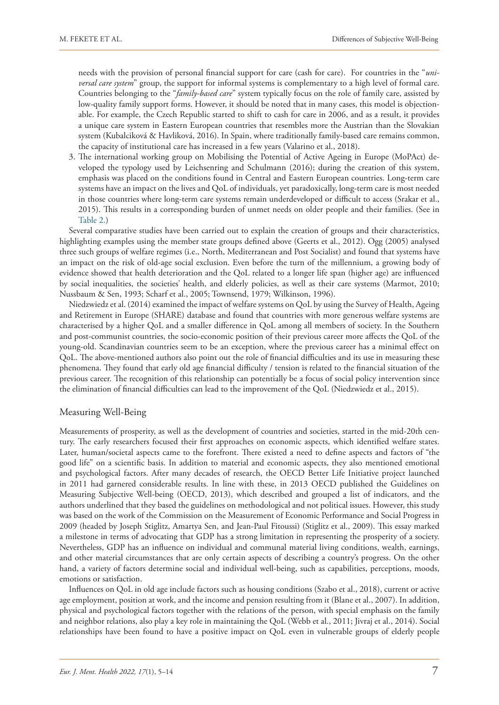needs with the provision of personal financial support for care (cash for care). For countries in the "*universal care system*" group, the support for informal systems is complementary to a high level of formal care. Countries belonging to the "*family-based care*" system typically focus on the role of family care, assisted by low-quality family support forms. However, it should be noted that in many cases, this model is objectionable. For example, the Czech Republic started to shift to cash for care in 2006, and as a result, it provides a unique care system in Eastern European countries that resembles more the Austrian than the Slovakian system (Kubalciková & Havliková, 2016). In Spain, where traditionally family-based care remains common, the capacity of institutional care has increased in a few years (Valarino et al., 2018).

3. The international working group on Mobilising the Potential of Active Ageing in Europe (MoPAct) developed the typology used by Leichsenring and Schulmann (2016); during the creation of this system, emphasis was placed on the conditions found in Central and Eastern European countries. Long-term care systems have an impact on the lives and QoL of individuals, yet paradoxically, long-term care is most needed in those countries where long-term care systems remain underdeveloped or difficult to access (Srakar et al., 2015). This results in a corresponding burden of unmet needs on older people and their families. (See in Table 2.)

Several comparative studies have been carried out to explain the creation of groups and their characteristics, highlighting examples using the member state groups defined above (Geerts et al., 2012). Ogg (2005) analysed three such groups of welfare regimes (i.e., North, Mediterranean and Post Socialist) and found that systems have an impact on the risk of old-age social exclusion. Even before the turn of the millennium, a growing body of evidence showed that health deterioration and the QoL related to a longer life span (higher age) are influenced by social inequalities, the societies' health, and elderly policies, as well as their care systems (Marmot, 2010; Nussbaum & Sen, 1993; Scharf et al., 2005; Townsend, 1979; Wilkinson, 1996).

Niedzwiedz et al. (2014) examined the impact of welfare systems on QoL by using the Survey of Health, Ageing and Retirement in Europe (SHARE) database and found that countries with more generous welfare systems are characterised by a higher QoL and a smaller difference in QoL among all members of society. In the Southern and post-communist countries, the socio-economic position of their previous career more affects the QoL of the young-old. Scandinavian countries seem to be an exception, where the previous career has a minimal effect on QoL. The above-mentioned authors also point out the role of financial difficulties and its use in measuring these phenomena. They found that early old age financial difficulty / tension is related to the financial situation of the previous career. The recognition of this relationship can potentially be a focus of social policy intervention since the elimination of financial difficulties can lead to the improvement of the QoL (Niedzwiedz et al., 2015).

#### Measuring Well-Being

Measurements of prosperity, as well as the development of countries and societies, started in the mid-20th century. The early researchers focused their first approaches on economic aspects, which identified welfare states. Later, human/societal aspects came to the forefront. There existed a need to define aspects and factors of "the good life" on a scientific basis. In addition to material and economic aspects, they also mentioned emotional and psychological factors. After many decades of research, the OECD Better Life Initiative project launched in 2011 had garnered considerable results. In line with these, in 2013 OECD published the Guidelines on Measuring Subjective Well-being (OECD, 2013), which described and grouped a list of indicators, and the authors underlined that they based the guidelines on methodological and not political issues. However, this study was based on the work of the Commission on the Measurement of Economic Performance and Social Progress in 2009 (headed by Joseph Stiglitz, Amartya Sen, and Jean-Paul Fitoussi) (Stiglitz et al., 2009). This essay marked a milestone in terms of advocating that GDP has a strong limitation in representing the prosperity of a society. Nevertheless, GDP has an influence on individual and communal material living conditions, wealth, earnings, and other material circumstances that are only certain aspects of describing a country's progress. On the other hand, a variety of factors determine social and individual well-being, such as capabilities, perceptions, moods, emotions or satisfaction.

Influences on QoL in old age include factors such as housing conditions (Szabo et al., 2018), current or active age employment, position at work, and the income and pension resulting from it (Blane et al., 2007). In addition, physical and psychological factors together with the relations of the person, with special emphasis on the family and neighbor relations, also play a key role in maintaining the QoL (Webb et al., 2011; Jivraj et al., 2014). Social relationships have been found to have a positive impact on QoL even in vulnerable groups of elderly people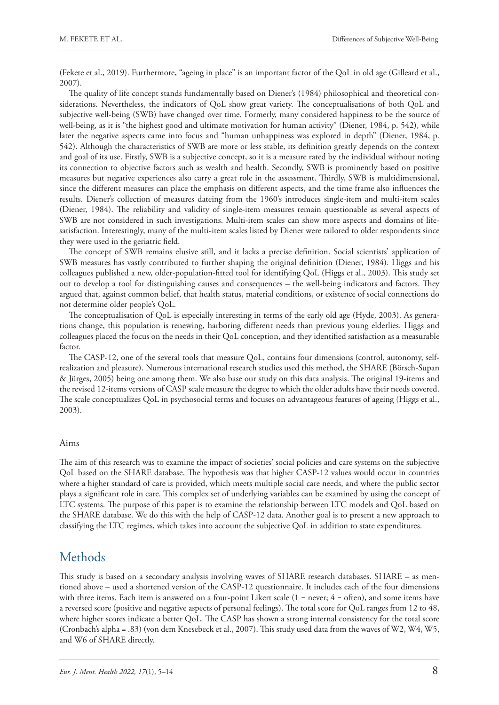(Fekete et al., 2019). Furthermore, "ageing in place" is an important factor of the QoL in old age (Gilleard et al., 2007).

The quality of life concept stands fundamentally based on Diener's (1984) philosophical and theoretical considerations. Nevertheless, the indicators of QoL show great variety. The conceptualisations of both QoL and subjective well-being (SWB) have changed over time. Formerly, many considered happiness to be the source of well-being, as it is "the highest good and ultimate motivation for human activity" (Diener, 1984, p. 542), while later the negative aspects came into focus and "human unhappiness was explored in depth" (Diener, 1984, p. 542). Although the characteristics of SWB are more or less stable, its definition greatly depends on the context and goal of its use. Firstly, SWB is a subjective concept, so it is a measure rated by the individual without noting its connection to objective factors such as wealth and health. Secondly, SWB is prominently based on positive measures but negative experiences also carry a great role in the assessment. Thirdly, SWB is multidimensional, since the different measures can place the emphasis on different aspects, and the time frame also influences the results. Diener's collection of measures dateing from the 1960's introduces single-item and multi-item scales (Diener, 1984). The reliability and validity of single-item measures remain questionable as several aspects of SWB are not considered in such investigations. Multi-item scales can show more aspects and domains of lifesatisfaction. Interestingly, many of the multi-item scales listed by Diener were tailored to older respondents since they were used in the geriatric field.

The concept of SWB remains elusive still, and it lacks a precise definition. Social scientists' application of SWB measures has vastly contributed to further shaping the original definition (Diener, 1984). Higgs and his colleagues published a new, older-population-fitted tool for identifying QoL (Higgs et al., 2003). This study set out to develop a tool for distinguishing causes and consequences – the well-being indicators and factors. They argued that, against common belief, that health status, material conditions, or existence of social connections do not determine older people's QoL.

The conceptualisation of QoL is especially interesting in terms of the early old age (Hyde, 2003). As generations change, this population is renewing, harboring different needs than previous young elderlies. Higgs and colleagues placed the focus on the needs in their QoL conception, and they identified satisfaction as a measurable factor.

The CASP-12, one of the several tools that measure QoL, contains four dimensions (control, autonomy, selfrealization and pleasure). Numerous international research studies used this method, the SHARE (Börsch-Supan & Jürges, 2005) being one among them. We also base our study on this data analysis. The original 19-items and the revised 12-items versions of CASP scale measure the degree to which the older adults have their needs covered. The scale conceptualizes QoL in psychosocial terms and focuses on advantageous features of ageing (Higgs et al., 2003).

#### Aims

The aim of this research was to examine the impact of societies' social policies and care systems on the subjective QoL based on the SHARE database. The hypothesis was that higher CASP-12 values would occur in countries where a higher standard of care is provided, which meets multiple social care needs, and where the public sector plays a significant role in care. This complex set of underlying variables can be examined by using the concept of LTC systems. The purpose of this paper is to examine the relationship between LTC models and QoL based on the SHARE database. We do this with the help of CASP-12 data. Another goal is to present a new approach to classifying the LTC regimes, which takes into account the subjective QoL in addition to state expenditures.

### **Methods**

This study is based on a secondary analysis involving waves of SHARE research databases. SHARE – as mentioned above – used a shortened version of the CASP-12 questionnaire. It includes each of the four dimensions with three items. Each item is answered on a four-point Likert scale  $(1 = never; 4 = often)$ , and some items have a reversed score (positive and negative aspects of personal feelings). The total score for QoL ranges from 12 to 48, where higher scores indicate a better QoL. The CASP has shown a strong internal consistency for the total score (Cronbach's alpha = .83) (von dem Knesebeck et al., 2007). This study used data from the waves of W2, W4, W5, and W6 of SHARE directly.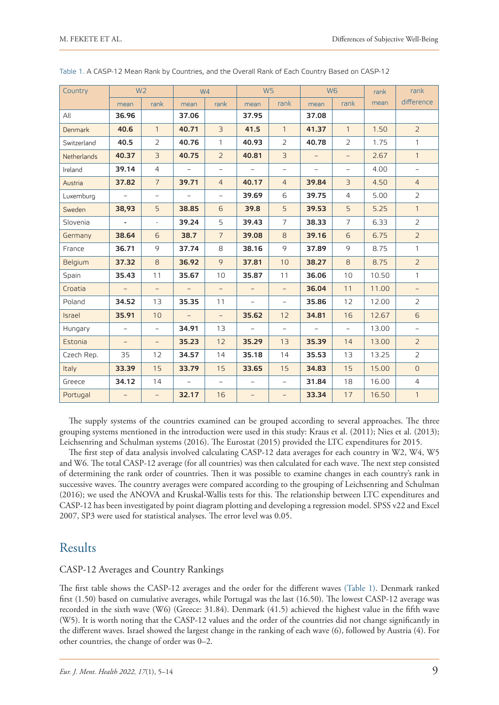| Country            | W <sub>2</sub>           |                          | W <sub>4</sub>           |                          | W <sub>5</sub>           |                          | W <sub>6</sub>           |                | rank  | rank                     |  |
|--------------------|--------------------------|--------------------------|--------------------------|--------------------------|--------------------------|--------------------------|--------------------------|----------------|-------|--------------------------|--|
|                    | mean                     | rank                     | mean                     | rank                     | mean                     | rank                     | mean                     | rank           | mean  | difference               |  |
| All                | 36.96                    |                          | 37.06                    |                          | 37.95                    |                          | 37.08                    |                |       |                          |  |
| <b>Denmark</b>     | 40.6                     | $\mathbf{1}$             | 40.71                    | 3                        | 41.5                     | $\mathbf{1}$             | 41.37                    | $\mathbf{1}$   | 1.50  | $\overline{2}$           |  |
| Switzerland        | 40.5                     | $\overline{2}$           | 40.76                    | $\mathbf{1}$             | 40.93                    | 2                        | 40.78                    | $\overline{2}$ | 1.75  | $\mathbf{1}$             |  |
| <b>Netherlands</b> | 40.37                    | $\overline{3}$           | 40.75                    | $\overline{2}$           | 40.81                    | $\overline{3}$           | $\equiv$                 | $\equiv$       | 2.67  | $\mathbf{1}$             |  |
| Ireland            | 39.14                    | $\overline{4}$           | $\equiv$                 | $\overline{\phantom{a}}$ | $\overline{\phantom{a}}$ | $\overline{\phantom{a}}$ | $\overline{\phantom{0}}$ | $\frac{1}{2}$  | 4.00  | $\overline{\phantom{0}}$ |  |
| Austria            | 37.82                    | $\overline{7}$           | 39.71                    | $\overline{4}$           | 40.17                    | $\overline{4}$           | 39.84                    | $\overline{3}$ | 4.50  | $\overline{4}$           |  |
| Luxemburg          | $\overline{\phantom{a}}$ | $\overline{\phantom{a}}$ | $\equiv$                 | $\overline{\phantom{0}}$ | 39.69                    | 6                        | 39.75                    | $\overline{4}$ | 5.00  | $\overline{2}$           |  |
| Sweden             | 38,93                    | 5                        | 38.85                    | 6                        | 39.8                     | 5                        | 39.53                    | 5              | 5.25  | $\mathbf{1}$             |  |
| Slovenia           | ä,                       | $\omega$                 | 39.24                    | 5                        | 39.43                    | $\overline{7}$           | 38.33                    | $\overline{7}$ | 6.33  | $\overline{2}$           |  |
| Germany            | 38.64                    | 6                        | 38.7                     | $\overline{7}$           | 39.08                    | 8                        | 39.16                    | 6              | 6.75  | $\overline{2}$           |  |
| France             | 36.71                    | 9                        | 37.74                    | 8                        | 38.16                    | 9                        | 37.89                    | 9              | 8.75  | $\mathbf{1}$             |  |
| Belgium            | 37.32                    | 8                        | 36.92                    | 9                        | 37.81                    | 10                       | 38.27                    | 8              | 8.75  | $\overline{2}$           |  |
| Spain              | 35.43                    | 11                       | 35.67                    | 10                       | 35.87                    | 11                       | 36.06                    | 10             | 10.50 | $\mathbf{1}$             |  |
| Croatia            | $\overline{\phantom{a}}$ | $\overline{\phantom{a}}$ | $\overline{\phantom{a}}$ | $\overline{\phantom{0}}$ | $\overline{\phantom{a}}$ | $\overline{\phantom{a}}$ | 36.04                    | 11             | 11.00 | $\overline{\phantom{0}}$ |  |
| Poland             | 34.52                    | 13                       | 35.35                    | 11                       | $\overline{\phantom{a}}$ | $\overline{\phantom{a}}$ | 35.86                    | 12             | 12.00 | $\overline{2}$           |  |
| Israel             | 35.91                    | 10                       | $\overline{\phantom{a}}$ | $\overline{\phantom{a}}$ | 35.62                    | 12                       | 34.81                    | 16             | 12.67 | 6                        |  |
| Hungary            | $\overline{\phantom{0}}$ | $\equiv$                 | 34.91                    | 13                       | $\overline{\phantom{a}}$ | $\overline{\phantom{a}}$ | $\overline{\phantom{a}}$ | $\bar{ }$      | 13.00 | $\equiv$                 |  |
| Estonia            | $\equiv$                 | $\equiv$                 | 35.23                    | 12                       | 35.29                    | 13                       | 35.39                    | 14             | 13.00 | $\overline{2}$           |  |
| Czech Rep.         | 35                       | 12                       | 34.57                    | 14                       | 35.18                    | 14                       | 35.53                    | 13             | 13.25 | $\overline{2}$           |  |
| Italy              | 33.39                    | 15                       | 33.79                    | 15                       | 33.65                    | 15                       | 34.83                    | 15             | 15.00 | $\overline{0}$           |  |
| Greece             | 34.12                    | 14                       | $\overline{\phantom{a}}$ | $\overline{\phantom{m}}$ | $\overline{\phantom{a}}$ | $\overline{\phantom{a}}$ | 31.84                    | 18             | 16.00 | $\overline{4}$           |  |
| Portugal           | -                        | $\overline{\phantom{0}}$ | 32.17                    | 16                       | $\qquad \qquad -$        | $\overline{\phantom{0}}$ | 33.34                    | 17             | 16.50 | $\mathbf{1}$             |  |

Table 1. A CASP-12 Mean Rank by Countries, and the Overall Rank of Each Country Based on CASP-12

The supply systems of the countries examined can be grouped according to several approaches. The three grouping systems mentioned in the introduction were used in this study: Kraus et al. (2011); Nies et al. (2013); Leichsenring and Schulman systems (2016). The Eurostat (2015) provided the LTC expenditures for 2015.

The first step of data analysis involved calculating CASP-12 data averages for each country in W2, W4, W5 and W6. The total CASP-12 average (for all countries) was then calculated for each wave. The next step consisted of determining the rank order of countries. Then it was possible to examine changes in each country's rank in successive waves. The country averages were compared according to the grouping of Leichsenring and Schulman (2016); we used the ANOVA and Kruskal-Wallis tests for this. The relationship between LTC expenditures and CASP-12 has been investigated by point diagram plotting and developing a regression model. SPSS v22 and Excel 2007, SP3 were used for statistical analyses. The error level was 0.05.

# Results

#### CASP-12 Averages and Country Rankings

The first table shows the CASP-12 averages and the order for the different waves (Table 1). Denmark ranked first (1.50) based on cumulative averages, while Portugal was the last (16.50). The lowest CASP-12 average was recorded in the sixth wave (W6) (Greece: 31.84). Denmark (41.5) achieved the highest value in the fifth wave (W5). It is worth noting that the CASP-12 values and the order of the countries did not change significantly in the different waves. Israel showed the largest change in the ranking of each wave (6), followed by Austria (4). For other countries, the change of order was 0–2.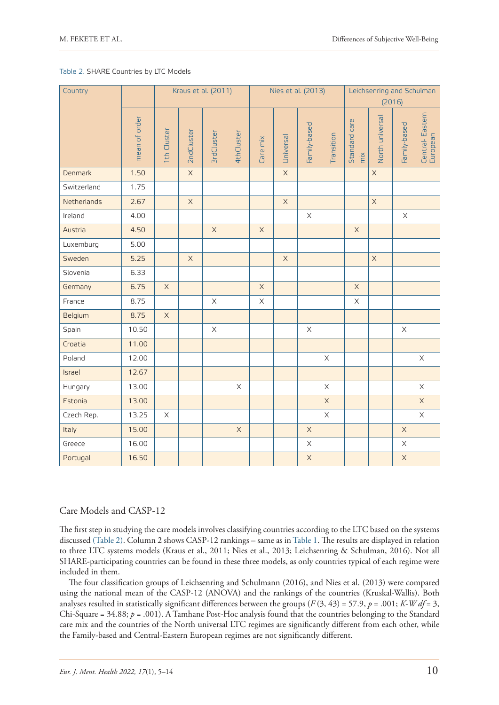#### Table 2. SHARE Countries by LTC Models

| Country     |               |             | Kraus et al. (2011) |                       |             | Nies et al. (2013) |             |                       |             | Leichsenring and Schulman<br>(2016)        |                 |                           |                             |
|-------------|---------------|-------------|---------------------|-----------------------|-------------|--------------------|-------------|-----------------------|-------------|--------------------------------------------|-----------------|---------------------------|-----------------------------|
|             | mean of order | 1th Cluster | 2ndCluster          | <b>3rdCluster</b>     | 4thCluster  | Care mix           | Universal   | Family-based          | Transition  | Standard care<br>$\overline{\mathsf{mix}}$ | North universal | Family-based              | Central-Eastern<br>European |
| Denmark     | 1.50          |             | $\mathsf{X}$        |                       |             |                    | $\mathsf X$ |                       |             |                                            | $\mathsf X$     |                           |                             |
| Switzerland | 1.75          |             |                     |                       |             |                    |             |                       |             |                                            |                 |                           |                             |
| Netherlands | 2.67          |             | $\mathsf X$         |                       |             |                    | $\mathsf X$ |                       |             |                                            | $\mathsf X$     |                           |                             |
| Ireland     | 4.00          |             |                     |                       |             |                    |             | $\boldsymbol{\times}$ |             |                                            |                 | $\boldsymbol{\mathsf{X}}$ |                             |
| Austria     | 4.50          |             |                     | $\mathsf X$           |             | $\mathsf X$        |             |                       |             | $\mathsf X$                                |                 |                           |                             |
| Luxemburg   | 5.00          |             |                     |                       |             |                    |             |                       |             |                                            |                 |                           |                             |
| Sweden      | 5.25          |             | $\mathsf X$         |                       |             |                    | $\mathsf X$ |                       |             |                                            | $\mathsf X$     |                           |                             |
| Slovenia    | 6.33          |             |                     |                       |             |                    |             |                       |             |                                            |                 |                           |                             |
| Germany     | 6.75          | $\mathsf X$ |                     |                       |             | $\mathsf X$        |             |                       |             | $\mathsf X$                                |                 |                           |                             |
| France      | 8.75          |             |                     | $\boldsymbol{\times}$ |             | $\mathsf X$        |             |                       |             | $\mathsf X$                                |                 |                           |                             |
| Belgium     | 8.75          | $\mathsf X$ |                     |                       |             |                    |             |                       |             |                                            |                 |                           |                             |
| Spain       | 10.50         |             |                     | $\boldsymbol{\times}$ |             |                    |             | $\mathsf X$           |             |                                            |                 | $\mathsf X$               |                             |
| Croatia     | 11.00         |             |                     |                       |             |                    |             |                       |             |                                            |                 |                           |                             |
| Poland      | 12.00         |             |                     |                       |             |                    |             |                       | $\mathsf X$ |                                            |                 |                           | $\boldsymbol{\times}$       |
| Israel      | 12.67         |             |                     |                       |             |                    |             |                       |             |                                            |                 |                           |                             |
| Hungary     | 13.00         |             |                     |                       | $\mathsf X$ |                    |             |                       | $\mathsf X$ |                                            |                 |                           | $\times$                    |
| Estonia     | 13.00         |             |                     |                       |             |                    |             |                       | $\mathsf X$ |                                            |                 |                           | $\mathsf X$                 |
| Czech Rep.  | 13.25         | $\times$    |                     |                       |             |                    |             |                       | $\mathsf X$ |                                            |                 |                           | $\mathsf X$                 |
| Italy       | 15.00         |             |                     |                       | $\mathsf X$ |                    |             | $\mathsf X$           |             |                                            |                 | $\mathsf X$               |                             |
| Greece      | 16.00         |             |                     |                       |             |                    |             | $\mathsf X$           |             |                                            |                 | $\mathsf X$               |                             |
| Portugal    | 16.50         |             |                     |                       |             |                    |             | $\mathsf X$           |             |                                            |                 | $\mathsf X$               |                             |

#### Care Models and CASP-12

The first step in studying the care models involves classifying countries according to the LTC based on the systems discussed (Table 2). Column 2 shows CASP-12 rankings – same as in Table 1. The results are displayed in relation to three LTC systems models (Kraus et al., 2011; Nies et al., 2013; Leichsenring & Schulman, 2016). Not all SHARE-participating countries can be found in these three models, as only countries typical of each regime were included in them.

The four classification groups of Leichsenring and Schulmann (2016), and Nies et al. (2013) were compared using the national mean of the CASP-12 (ANOVA) and the rankings of the countries (Kruskal-Wallis). Both analyses resulted in statistically significant differences between the groups  $(F(3, 43) = 57.9, p = .001; K-Wdf = 3$ , Chi-Square = 34.88; *p* = .001). A Tamhane Post-Hoc analysis found that the countries belonging to the Standard care mix and the countries of the North universal LTC regimes are significantly different from each other, while the Family-based and Central-Eastern European regimes are not significantly different.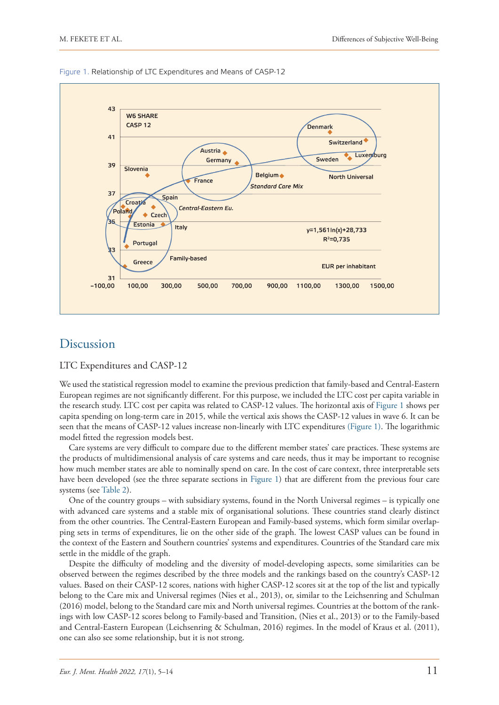

Figure 1. Relationship of LTC Expenditures and Means of CASP-12

### Discussion

LTC Expenditures and CASP-12

We used the statistical regression model to examine the previous prediction that family-based and Central-Eastern European regimes are not significantly different. For this purpose, we included the LTC cost per capita variable in the research study. LTC cost per capita was related to CASP-12 values. The horizontal axis of Figure 1 shows per capita spending on long-term care in 2015, while the vertical axis shows the CASP-12 values in wave 6. It can be seen that the means of CASP-12 values increase non-linearly with LTC expenditures (Figure 1). The logarithmic model fitted the regression models best.

Care systems are very difficult to compare due to the different member states' care practices. These systems are the products of multidimensional analysis of care systems and care needs, thus it may be important to recognise how much member states are able to nominally spend on care. In the cost of care context, three interpretable sets have been developed (see the three separate sections in Figure 1) that are different from the previous four care systems (see Table 2).

One of the country groups – with subsidiary systems, found in the North Universal regimes – is typically one with advanced care systems and a stable mix of organisational solutions. These countries stand clearly distinct from the other countries. The Central-Eastern European and Family-based systems, which form similar overlapping sets in terms of expenditures, lie on the other side of the graph. The lowest CASP values can be found in the context of the Eastern and Southern countries' systems and expenditures. Countries of the Standard care mix settle in the middle of the graph.

Despite the difficulty of modeling and the diversity of model-developing aspects, some similarities can be observed between the regimes described by the three models and the rankings based on the country's CASP-12 values. Based on their CASP-12 scores, nations with higher CASP-12 scores sit at the top of the list and typically belong to the Care mix and Universal regimes (Nies et al., 2013), or, similar to the Leichsenring and Schulman (2016) model, belong to the Standard care mix and North universal regimes. Countries at the bottom of the rankings with low CASP-12 scores belong to Family-based and Transition, (Nies et al., 2013) or to the Family-based and Central-Eastern European (Leichsenring & Schulman, 2016) regimes. In the model of Kraus et al. (2011), one can also see some relationship, but it is not strong.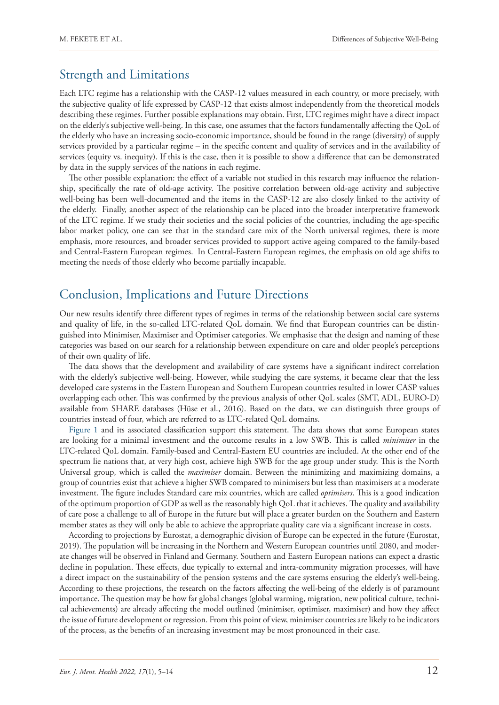## Strength and Limitations

Each LTC regime has a relationship with the CASP-12 values measured in each country, or more precisely, with the subjective quality of life expressed by CASP-12 that exists almost independently from the theoretical models describing these regimes. Further possible explanations may obtain. First, LTC regimes might have a direct impact on the elderly's subjective well-being. In this case, one assumes that the factors fundamentally affecting the QoL of the elderly who have an increasing socio-economic importance, should be found in the range (diversity) of supply services provided by a particular regime – in the specific content and quality of services and in the availability of services (equity vs. inequity). If this is the case, then it is possible to show a difference that can be demonstrated by data in the supply services of the nations in each regime.

The other possible explanation: the effect of a variable not studied in this research may influence the relationship, specifically the rate of old-age activity. The positive correlation between old-age activity and subjective well-being has been well-documented and the items in the CASP-12 are also closely linked to the activity of the elderly. Finally, another aspect of the relationship can be placed into the broader interpretative framework of the LTC regime. If we study their societies and the social policies of the countries, including the age-specific labor market policy, one can see that in the standard care mix of the North universal regimes, there is more emphasis, more resources, and broader services provided to support active ageing compared to the family-based and Central-Eastern European regimes. In Central-Eastern European regimes, the emphasis on old age shifts to meeting the needs of those elderly who become partially incapable.

## Conclusion, Implications and Future Directions

Our new results identify three different types of regimes in terms of the relationship between social care systems and quality of life, in the so-called LTC-related QoL domain. We find that European countries can be distinguished into Minimiser, Maximiser and Optimiser categories. We emphasise that the design and naming of these categories was based on our search for a relationship between expenditure on care and older people's perceptions of their own quality of life.

The data shows that the development and availability of care systems have a significant indirect correlation with the elderly's subjective well-being. However, while studying the care systems, it became clear that the less developed care systems in the Eastern European and Southern European countries resulted in lower CASP values overlapping each other. This was confirmed by the previous analysis of other QoL scales (SMT, ADL, EURO-D) available from SHARE databases (Hüse et al., 2016). Based on the data, we can distinguish three groups of countries instead of four, which are referred to as LTC-related QoL domains.

Figure 1 and its associated classification support this statement. The data shows that some European states are looking for a minimal investment and the outcome results in a low SWB. This is called *minimiser* in the LTC-related QoL domain. Family-based and Central-Eastern EU countries are included. At the other end of the spectrum lie nations that, at very high cost, achieve high SWB for the age group under study. This is the North Universal group, which is called the *maximiser* domain. Between the minimizing and maximizing domains, a group of countries exist that achieve a higher SWB compared to minimisers but less than maximisers at a moderate investment. The figure includes Standard care mix countries, which are called *optimisers*. This is a good indication of the optimum proportion of GDP as well as the reasonably high QoL that it achieves. The quality and availability of care pose a challenge to all of Europe in the future but will place a greater burden on the Southern and Eastern member states as they will only be able to achieve the appropriate quality care via a significant increase in costs.

According to projections by Eurostat, a demographic division of Europe can be expected in the future (Eurostat, 2019). The population will be increasing in the Northern and Western European countries until 2080, and moderate changes will be observed in Finland and Germany. Southern and Eastern European nations can expect a drastic decline in population. These effects, due typically to external and intra-community migration processes, will have a direct impact on the sustainability of the pension systems and the care systems ensuring the elderly's well-being. According to these projections, the research on the factors affecting the well-being of the elderly is of paramount importance. The question may be how far global changes (global warming, migration, new political culture, technical achievements) are already affecting the model outlined (minimiser, optimiser, maximiser) and how they affect the issue of future development or regression. From this point of view, minimiser countries are likely to be indicators of the process, as the benefits of an increasing investment may be most pronounced in their case.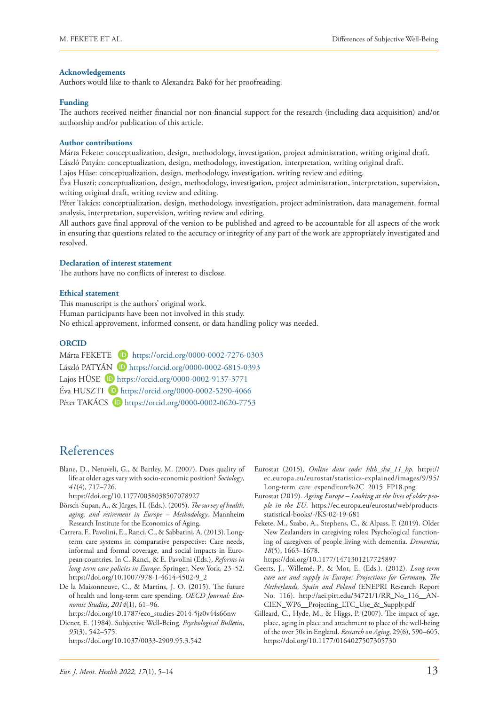#### **Acknowledgements**

Authors would like to thank to Alexandra Bakó for her proofreading.

#### **Funding**

The authors received neither financial nor non-financial support for the research (including data acquisition) and/or authorship and/or publication of this article.

#### **Author contributions**

Márta Fekete: conceptualization, design, methodology, investigation, project administration, writing original draft. László Patyán: conceptualization, design, methodology, investigation, interpretation, writing original draft.

Lajos Hüse: conceptualization, design, methodology, investigation, writing review and editing.

Éva Huszti: conceptualization, design, methodology, investigation, project administration, interpretation, supervision, writing original draft, writing review and editing.

Péter Takács: conceptualization, design, methodology, investigation, project administration, data management, formal analysis, interpretation, supervision, writing review and editing.

All authors gave final approval of the version to be published and agreed to be accountable for all aspects of the work in ensuring that questions related to the accuracy or integrity of any part of the work are appropriately investigated and resolved.

#### **Declaration of interest statement**

The authors have no conflicts of interest to disclose.

#### **Ethical statement**

This manuscript is the authors' original work. Human participants have been not involved in this study. No ethical approvement, informed consent, or data handling policy was needed.

# **ORCID**

| Márta FEKETE D https://orcid.org/0000-0002-7276-0303             |
|------------------------------------------------------------------|
| László PATYÁN D https://orcid.org/0000-0002-6815-0393            |
| Lajos HÜSE D https://orcid.org/0000-0002-9137-3771               |
| Éva HUSZTI D https://orcid.org/0000-0002-5290-4066               |
| Péter TAKÁCS <sup>(D</sup> https://orcid.org/0000-0002-0620-7753 |

### References

Blane, D., Netuveli, G., & Bartley, M. (2007). Does quality of life at older ages vary with socio-economic position? *Sociology*, *41*(4), 717–726.

<https://doi.org/10.1177/0038038507078927>

- Börsch-Supan, A., & Jürges, H. (Eds.). (2005). *The survey of health, aging, and retirement in Europe – Methodology*. Mannheim Research Institute for the Economics of Aging.
- Carrera, F., Pavolini, E., Ranci, C., & Sabbatini, A. (2013). Longterm care systems in comparative perspective: Care needs, informal and formal coverage, and social impacts in European countries. In C. Ranci, & E. Pavolini (Eds.), *Reforms in long-term care policies in Europe*. Springer, New York, 23–52. [https://doi.org/10.1007/978-1-4614-4502-9\\_2](https://doi.org/10.1007/978-1-4614-4502-9_2)
- De la Maisonneuve, C., & Martins, J. O. (2015). The future of health and long-term care spending. *OECD Journal: Economic Studies*, *2014*(1), 61–96.

[https://doi.org/10.1787/eco\\_studies-2014-5jz0v44s66nw](https://doi.org/10.1787/eco_studies-2014-5jz0v44s66nw) Diener, E. (1984). Subjective Well-Being. *Psychological Bulletin*, *95*(3), 542–575. [https://doi.org/10.1037/0033-2909.95.3.542](https://psycnet.apa.org/doi/10.1037/0033-2909.95.3.542)

- Eurostat (2015). *Online data code: hlth\_sha\_11\_hp.* [https://](https://ec.europa.eu/eurostat/statistics-explained/images/9/95/Long-term_care_expenditure%2C_2015_FP18.png) [ec.europa.eu/eurostat/statistics-explained/images/9/95/](https://ec.europa.eu/eurostat/statistics-explained/images/9/95/Long-term_care_expenditure%2C_2015_FP18.png) [Long-term\\_care\\_expenditure%2C\\_2015\\_FP18.png](https://ec.europa.eu/eurostat/statistics-explained/images/9/95/Long-term_care_expenditure%2C_2015_FP18.png)
- Eurostat (2019). *Ageing Europe Looking at the lives of older people in the EU*. [https://ec.europa.eu/eurostat/web/products](https://ec.europa.eu/eurostat/web/products-statistical-books/-/KS-02-19-681)[statistical-books/-/KS-02-19-681](https://ec.europa.eu/eurostat/web/products-statistical-books/-/KS-02-19-681)
- Fekete, M., Szabo, A., Stephens, C., & Alpass, F. (2019). Older New Zealanders in caregiving roles: Psychological functioning of caregivers of people living with dementia. *Dementia*, *18*(5), 1663–1678.

<https://doi.org/10.1177/1471301217725897>

- Geerts, J., Willemé, P., & Mot, E. (Eds.). (2012). *Long-term care use and supply in Europe: Projections for Germany, The Netherlands, Spain and Poland* (ENEPRI Research Report No. 116). [http://aei.pitt.edu/34721/1/RR\\_No\\_116\\_\\_AN-](http://aei.pitt.edu/34721/1/RR_No_116__ANCIEN_WP6__Projecting_LTC_Use_&_Supply.pdf)[CIEN\\_WP6\\_\\_Projecting\\_LTC\\_Use\\_&\\_Supply.pdf](http://aei.pitt.edu/34721/1/RR_No_116__ANCIEN_WP6__Projecting_LTC_Use_&_Supply.pdf)
- Gilleard, C., Hyde, M., & Higgs, P. (2007). The impact of age, place, aging in place and attachment to place of the well-being of the over 50s in England. *Research on Aging*, 29(6), 590–605. <https://doi.org/10.1177/0164027507305730>